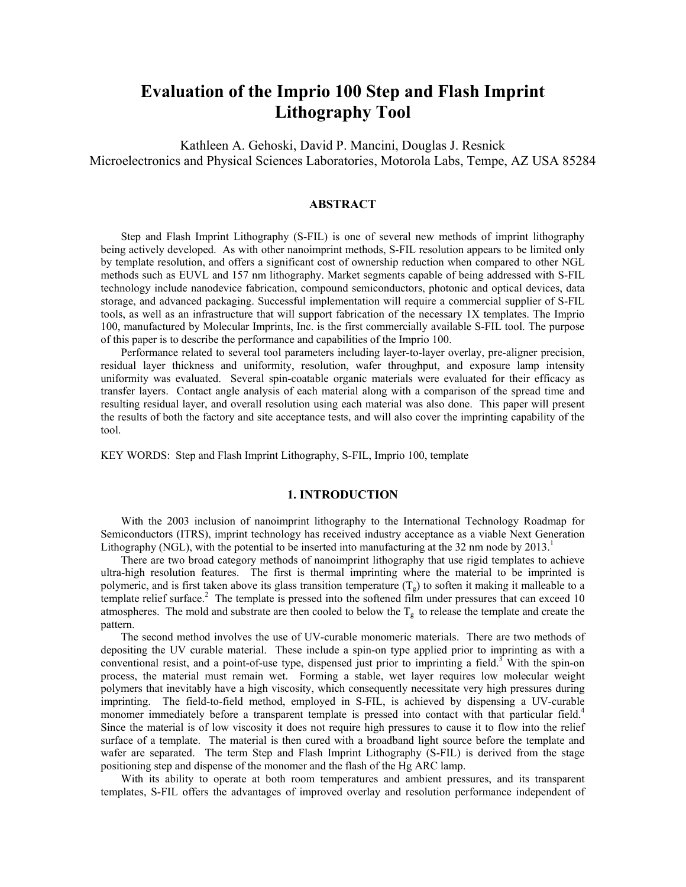# **Evaluation of the Imprio 100 Step and Flash Imprint Lithography Tool**

Kathleen A. Gehoski, David P. Mancini, Douglas J. Resnick Microelectronics and Physical Sciences Laboratories, Motorola Labs, Tempe, AZ USA 85284

## **ABSTRACT**

Step and Flash Imprint Lithography (S-FIL) is one of several new methods of imprint lithography being actively developed. As with other nanoimprint methods, S-FIL resolution appears to be limited only by template resolution, and offers a significant cost of ownership reduction when compared to other NGL methods such as EUVL and 157 nm lithography. Market segments capable of being addressed with S-FIL technology include nanodevice fabrication, compound semiconductors, photonic and optical devices, data storage, and advanced packaging. Successful implementation will require a commercial supplier of S-FIL tools, as well as an infrastructure that will support fabrication of the necessary 1X templates. The Imprio 100, manufactured by Molecular Imprints, Inc. is the first commercially available S-FIL tool. The purpose of this paper is to describe the performance and capabilities of the Imprio 100.

Performance related to several tool parameters including layer-to-layer overlay, pre-aligner precision, residual layer thickness and uniformity, resolution, wafer throughput, and exposure lamp intensity uniformity was evaluated. Several spin-coatable organic materials were evaluated for their efficacy as transfer layers. Contact angle analysis of each material along with a comparison of the spread time and resulting residual layer, and overall resolution using each material was also done. This paper will present the results of both the factory and site acceptance tests, and will also cover the imprinting capability of the tool.

KEY WORDS: Step and Flash Imprint Lithography, S-FIL, Imprio 100, template

#### **1. INTRODUCTION**

With the 2003 inclusion of nanoimprint lithography to the International Technology Roadmap for Semiconductors (ITRS), imprint technology has received industry acceptance as a viable Next Generation Lithography (NGL), with the potential to be inserted into manufacturing at the 32 nm node by 2013.<sup>1</sup>

There are two broad category methods of nanoimprint lithography that use rigid templates to achieve ultra-high resolution features. The first is thermal imprinting where the material to be imprinted is polymeric, and is first taken above its glass transition temperature  $(T_g)$  to soften it making it malleable to a template relief surface.<sup>2</sup> The template is pressed into the softened film under pressures that can exceed 10 atmospheres. The mold and substrate are then cooled to below the  $T_g$  to release the template and create the pattern.

The second method involves the use of UV-curable monomeric materials. There are two methods of depositing the UV curable material. These include a spin-on type applied prior to imprinting as with a conventional resist, and a point-of-use type, dispensed just prior to imprinting a field.<sup>3</sup> With the spin-on process, the material must remain wet. Forming a stable, wet layer requires low molecular weight polymers that inevitably have a high viscosity, which consequently necessitate very high pressures during imprinting. The field-to-field method, employed in S-FIL, is achieved by dispensing a UV-curable monomer immediately before a transparent template is pressed into contact with that particular field.<sup>4</sup> Since the material is of low viscosity it does not require high pressures to cause it to flow into the relief surface of a template. The material is then cured with a broadband light source before the template and wafer are separated. The term Step and Flash Imprint Lithography (S-FIL) is derived from the stage positioning step and dispense of the monomer and the flash of the Hg ARC lamp.

With its ability to operate at both room temperatures and ambient pressures, and its transparent templates, S-FIL offers the advantages of improved overlay and resolution performance independent of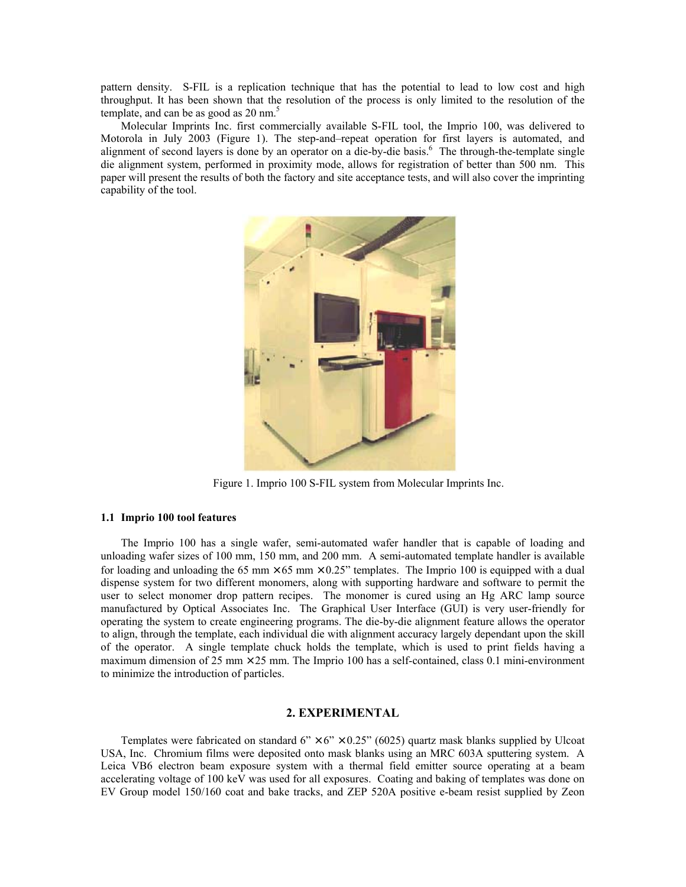pattern density. S-FIL is a replication technique that has the potential to lead to low cost and high throughput. It has been shown that the resolution of the process is only limited to the resolution of the template, and can be as good as  $20 \text{ nm}$ .<sup>5</sup>

Molecular Imprints Inc. first commercially available S-FIL tool, the Imprio 100, was delivered to Motorola in July 2003 (Figure 1). The step-and–repeat operation for first layers is automated, and alignment of second layers is done by an operator on a die-by-die basis.<sup>6</sup> The through-the-template single die alignment system, performed in proximity mode, allows for registration of better than 500 nm. This paper will present the results of both the factory and site acceptance tests, and will also cover the imprinting capability of the tool.



Figure 1. Imprio 100 S-FIL system from Molecular Imprints Inc.

## **1.1 Imprio 100 tool features**

The Imprio 100 has a single wafer, semi-automated wafer handler that is capable of loading and unloading wafer sizes of 100 mm, 150 mm, and 200 mm. A semi-automated template handler is available for loading and unloading the 65 mm  $\times$  65 mm  $\times$  0.25" templates. The Imprio 100 is equipped with a dual dispense system for two different monomers, along with supporting hardware and software to permit the user to select monomer drop pattern recipes. The monomer is cured using an Hg ARC lamp source manufactured by Optical Associates Inc. The Graphical User Interface (GUI) is very user-friendly for operating the system to create engineering programs. The die-by-die alignment feature allows the operator to align, through the template, each individual die with alignment accuracy largely dependant upon the skill of the operator. A single template chuck holds the template, which is used to print fields having a maximum dimension of 25 mm  $\times$  25 mm. The Imprio 100 has a self-contained, class 0.1 mini-environment to minimize the introduction of particles.

## **2. EXPERIMENTAL**

Templates were fabricated on standard  $6'' \times 6'' \times 0.25''$  (6025) quartz mask blanks supplied by Ulcoat USA, Inc. Chromium films were deposited onto mask blanks using an MRC 603A sputtering system. A Leica VB6 electron beam exposure system with a thermal field emitter source operating at a beam accelerating voltage of 100 keV was used for all exposures. Coating and baking of templates was done on EV Group model 150/160 coat and bake tracks, and ZEP 520A positive e-beam resist supplied by Zeon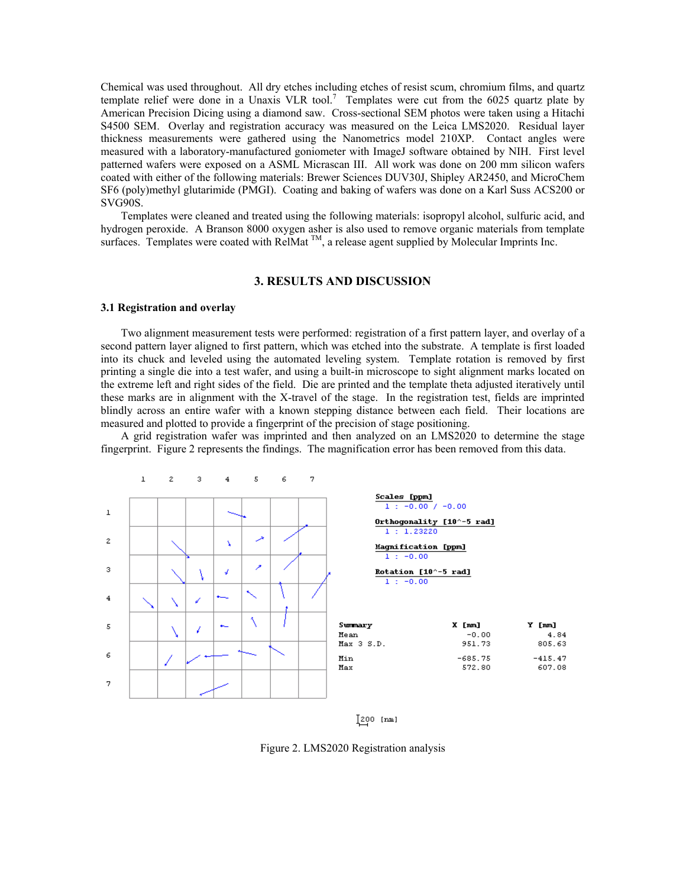Chemical was used throughout. All dry etches including etches of resist scum, chromium films, and quartz template relief were done in a Unaxis VLR tool.<sup>7</sup> Templates were cut from the 6025 quartz plate by American Precision Dicing using a diamond saw. Cross-sectional SEM photos were taken using a Hitachi S4500 SEM. Overlay and registration accuracy was measured on the Leica LMS2020. Residual layer thickness measurements were gathered using the Nanometrics model 210XP. Contact angles were measured with a laboratory-manufactured goniometer with ImageJ software obtained by NIH. First level patterned wafers were exposed on a ASML Micrascan III. All work was done on 200 mm silicon wafers coated with either of the following materials: Brewer Sciences DUV30J, Shipley AR2450, and MicroChem SF6 (poly)methyl glutarimide (PMGI). Coating and baking of wafers was done on a Karl Suss ACS200 or SVG90S.

Templates were cleaned and treated using the following materials: isopropyl alcohol, sulfuric acid, and hydrogen peroxide. A Branson 8000 oxygen asher is also used to remove organic materials from template surfaces. Templates were coated with RelMat  $^{TM}$ , a release agent supplied by Molecular Imprints Inc.

## **3. RESULTS AND DISCUSSION**

## **3.1 Registration and overlay**

Two alignment measurement tests were performed: registration of a first pattern layer, and overlay of a second pattern layer aligned to first pattern, which was etched into the substrate. A template is first loaded into its chuck and leveled using the automated leveling system. Template rotation is removed by first printing a single die into a test wafer, and using a built-in microscope to sight alignment marks located on the extreme left and right sides of the field. Die are printed and the template theta adjusted iteratively until these marks are in alignment with the X-travel of the stage. In the registration test, fields are imprinted blindly across an entire wafer with a known stepping distance between each field. Their locations are measured and plotted to provide a fingerprint of the precision of stage positioning.

A grid registration wafer was imprinted and then analyzed on an LMS2020 to determine the stage fingerprint. Figure 2 represents the findings. The magnification error has been removed from this data.



 $[200$  [mm]

Figure 2. LMS2020 Registration analysis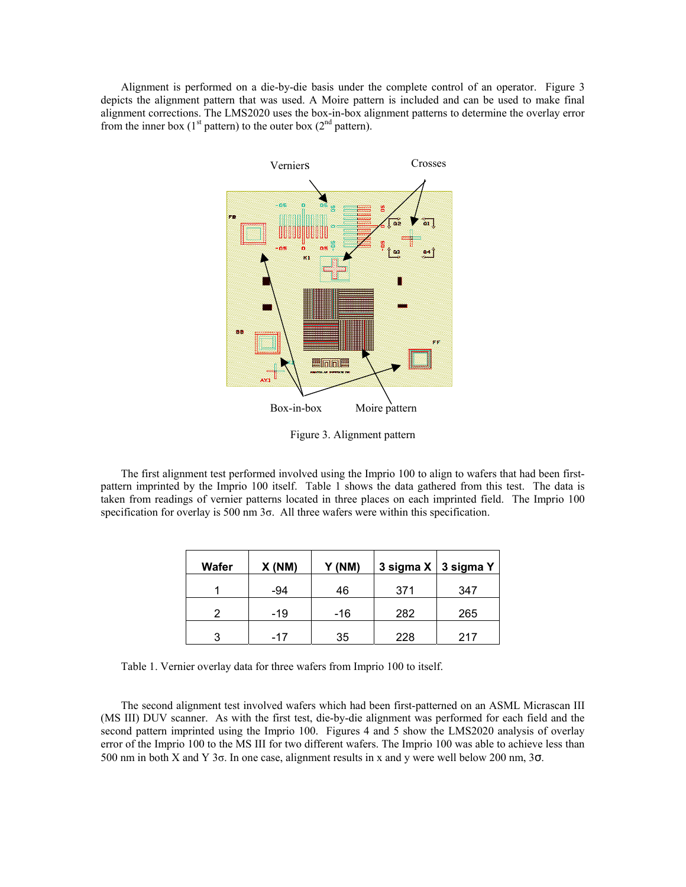Alignment is performed on a die-by-die basis under the complete control of an operator. Figure 3 depicts the alignment pattern that was used. A Moire pattern is included and can be used to make final alignment corrections. The LMS2020 uses the box-in-box alignment patterns to determine the overlay error from the inner box (1<sup>st</sup> pattern) to the outer box (2<sup>nd</sup> pattern).



Figure 3. Alignment pattern

The first alignment test performed involved using the Imprio 100 to align to wafers that had been firstpattern imprinted by the Imprio 100 itself. Table 1 shows the data gathered from this test. The data is taken from readings of vernier patterns located in three places on each imprinted field. The Imprio 100 specification for overlay is 500 nm  $3\sigma$ . All three wafers were within this specification.

| Wafer | X(NM) | Y (NM) |     | 3 sigma X   3 sigma Y |
|-------|-------|--------|-----|-----------------------|
|       | -94   | 46     | 371 | 347                   |
| າ     | -19   | -16    | 282 | 265                   |
| 2     | -17   | 35     | 228 | 217                   |

Table 1. Vernier overlay data for three wafers from Imprio 100 to itself.

The second alignment test involved wafers which had been first-patterned on an ASML Micrascan III (MS III) DUV scanner. As with the first test, die-by-die alignment was performed for each field and the second pattern imprinted using the Imprio 100. Figures 4 and 5 show the LMS2020 analysis of overlay error of the Imprio 100 to the MS III for two different wafers. The Imprio 100 was able to achieve less than 500 nm in both X and Y 3σ. In one case, alignment results in x and y were well below 200 nm, 3σ.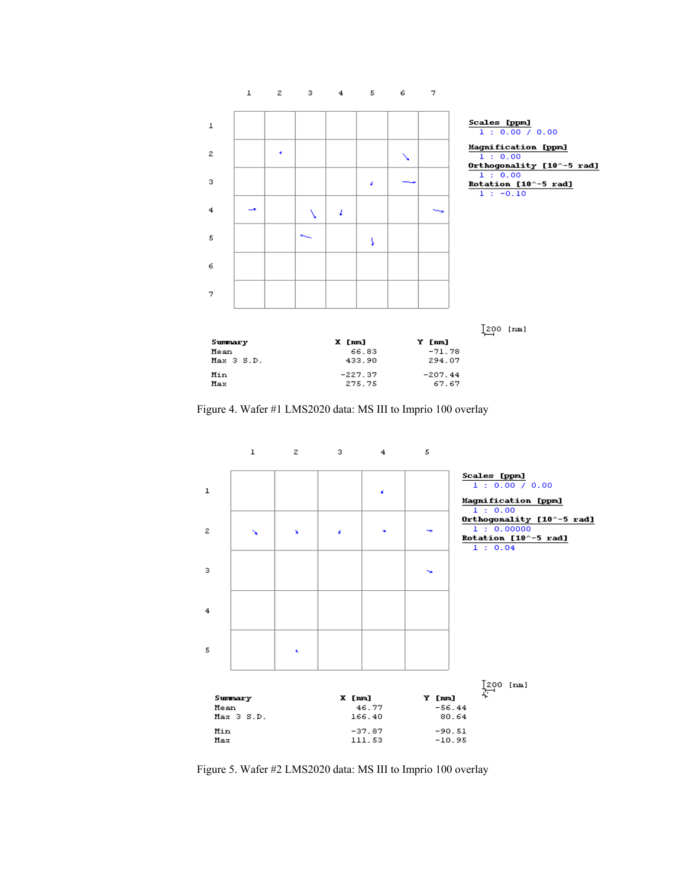

Figure 4. Wafer #1 LMS2020 data: MS III to Imprio 100 overlay



Figure 5. Wafer #2 LMS2020 data: MS III to Imprio 100 overlay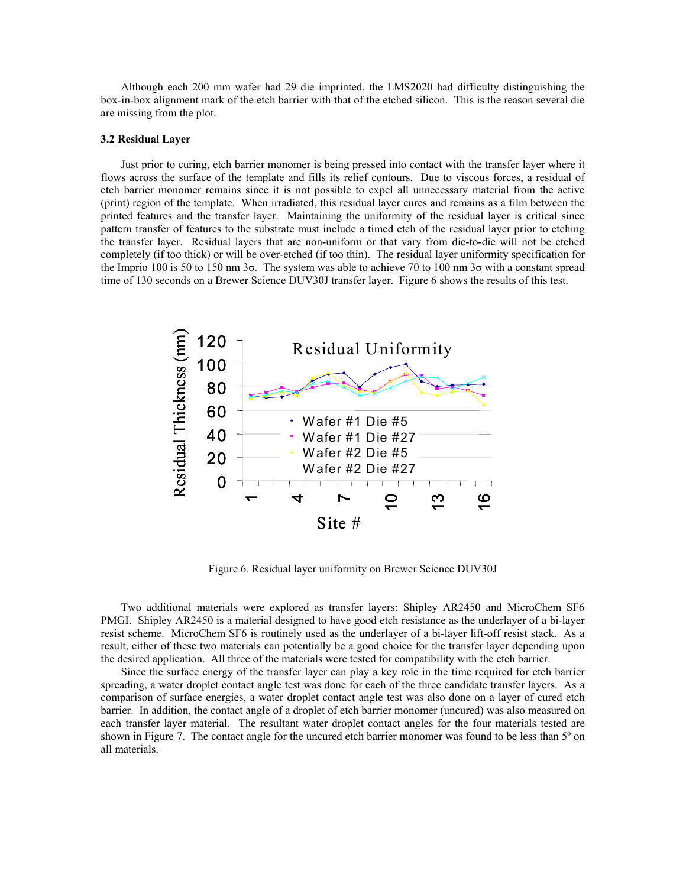Although each 200 mm wafer had 29 die imprinted, the LMS2020 had difficulty distinguishing the box-in-box alignment mark of the etch barrier with that of the etched silicon. This is the reason several die are missing from the plot.

#### **3.2 Residual Layer**

Just prior to curing, etch barrier monomer is being pressed into contact with the transfer layer where it flows across the surface of the template and fills its relief contours. Due to viscous forces, a residual of etch barrier monomer remains since it is not possible to expel all unnecessary material from the active (print) region of the template. When irradiated, this residual layer cures and remains as a film between the printed features and the transfer layer. Maintaining the uniformity of the residual layer is critical since pattern transfer of features to the substrate must include a timed etch of the residual layer prior to etching the transfer layer. Residual layers that are non-uniform or that vary from die-to-die will not be etched completely (if too thick) or will be over-etched (if too thin). The residual layer uniformity specification for the Imprio 100 is 50 to 150 nm 3σ. The system was able to achieve 70 to 100 nm 3σ with a constant spread time of 130 seconds on a Brewer Science DUV30J transfer layer. Figure 6 shows the results of this test.



Figure 6. Residual layer uniformity on Brewer Science DUV30J

Two additional materials were explored as transfer layers: Shipley AR2450 and MicroChem SF6 PMGI. Shipley AR2450 is a material designed to have good etch resistance as the underlayer of a bi-layer resist scheme. MicroChem SF6 is routinely used as the underlayer of a bi-layer lift-off resist stack. As a result, either of these two materials can potentially be a good choice for the transfer layer depending upon the desired application. All three of the materials were tested for compatibility with the etch barrier.

Since the surface energy of the transfer layer can play a key role in the time required for etch barrier spreading, a water droplet contact angle test was done for each of the three candidate transfer layers. As a comparison of surface energies, a water droplet contact angle test was also done on a layer of cured etch barrier. In addition, the contact angle of a droplet of etch barrier monomer (uncured) was also measured on each transfer layer material. The resultant water droplet contact angles for the four materials tested are shown in Figure 7. The contact angle for the uncured etch barrier monomer was found to be less than 5<sup>°</sup> on all materials.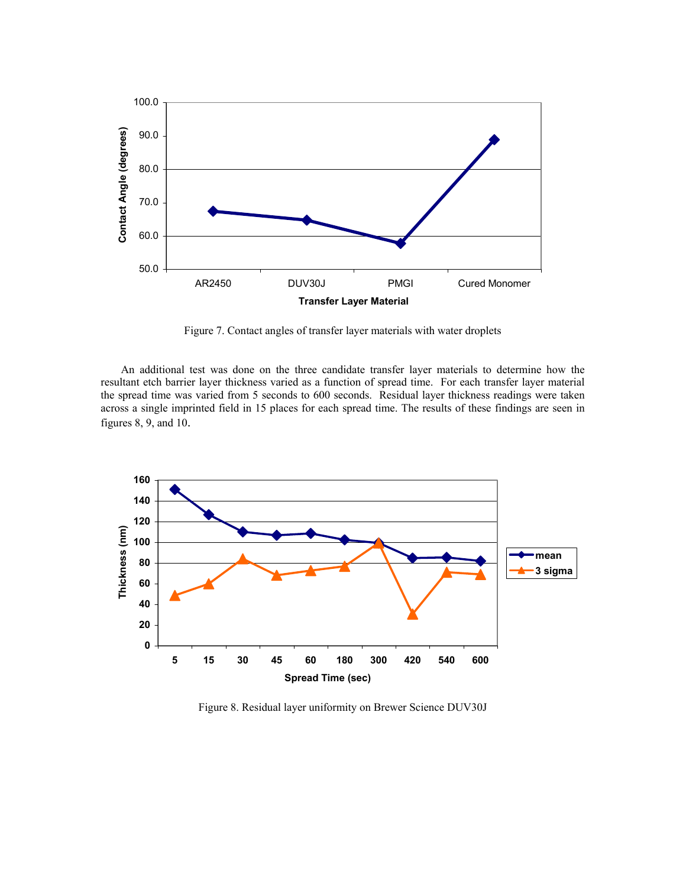

Figure 7. Contact angles of transfer layer materials with water droplets

An additional test was done on the three candidate transfer layer materials to determine how the resultant etch barrier layer thickness varied as a function of spread time. For each transfer layer material the spread time was varied from 5 seconds to 600 seconds. Residual layer thickness readings were taken across a single imprinted field in 15 places for each spread time. The results of these findings are seen in figures 8, 9, and 10.



Figure 8. Residual layer uniformity on Brewer Science DUV30J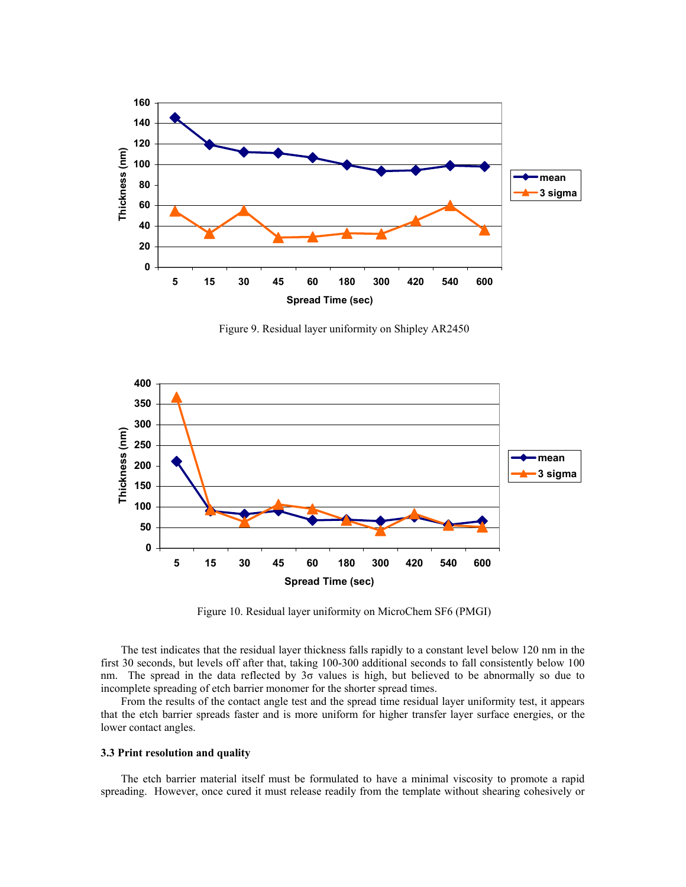

Figure 9. Residual layer uniformity on Shipley AR2450



Figure 10. Residual layer uniformity on MicroChem SF6 (PMGI)

The test indicates that the residual layer thickness falls rapidly to a constant level below 120 nm in the first 30 seconds, but levels off after that, taking 100-300 additional seconds to fall consistently below 100 nm. The spread in the data reflected by 3σ values is high, but believed to be abnormally so due to incomplete spreading of etch barrier monomer for the shorter spread times.

From the results of the contact angle test and the spread time residual layer uniformity test, it appears that the etch barrier spreads faster and is more uniform for higher transfer layer surface energies, or the lower contact angles.

#### **3.3 Print resolution and quality**

The etch barrier material itself must be formulated to have a minimal viscosity to promote a rapid spreading. However, once cured it must release readily from the template without shearing cohesively or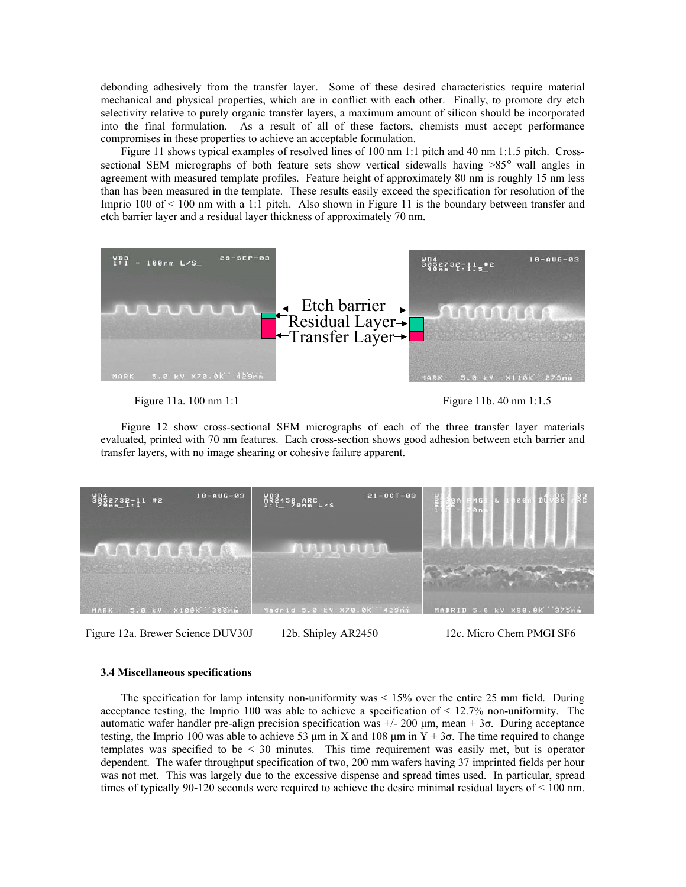debonding adhesively from the transfer layer. Some of these desired characteristics require material mechanical and physical properties, which are in conflict with each other. Finally, to promote dry etch selectivity relative to purely organic transfer layers, a maximum amount of silicon should be incorporated into the final formulation. As a result of all of these factors, chemists must accept performance compromises in these properties to achieve an acceptable formulation.

Figure 11 shows typical examples of resolved lines of 100 nm 1:1 pitch and 40 nm 1:1.5 pitch. Crosssectional SEM micrographs of both feature sets show vertical sidewalls having >85° wall angles in agreement with measured template profiles. Feature height of approximately 80 nm is roughly 15 nm less than has been measured in the template. These results easily exceed the specification for resolution of the Imprio 100 of  $\leq$  100 nm with a 1:1 pitch. Also shown in Figure 11 is the boundary between transfer and etch barrier layer and a residual layer thickness of approximately 70 nm.



Figure 11a. 100 nm 1:1 Figure 11b. 40 nm 1:1.5

Figure 12 show cross-sectional SEM micrographs of each of the three transfer layer materials evaluated, printed with 70 nm features. Each cross-section shows good adhesion between etch barrier and transfer layers, with no image shearing or cohesive failure apparent.



Figure 12a. Brewer Science DUV30J 12b. Shipley AR2450 12c. Micro Chem PMGI SF6

#### **3.4 Miscellaneous specifications**

The specification for lamp intensity non-uniformity was < 15% over the entire 25 mm field. During acceptance testing, the Imprio 100 was able to achieve a specification of  $\leq 12.7\%$  non-uniformity. The automatic wafer handler pre-align precision specification was  $+/- 200 \mu m$ , mean  $+ 3\sigma$ . During acceptance testing, the Imprio 100 was able to achieve 53 μm in X and 108 μm in Y + 3σ. The time required to change templates was specified to be < 30 minutes. This time requirement was easily met, but is operator dependent. The wafer throughput specification of two, 200 mm wafers having 37 imprinted fields per hour was not met. This was largely due to the excessive dispense and spread times used. In particular, spread times of typically 90-120 seconds were required to achieve the desire minimal residual layers of < 100 nm.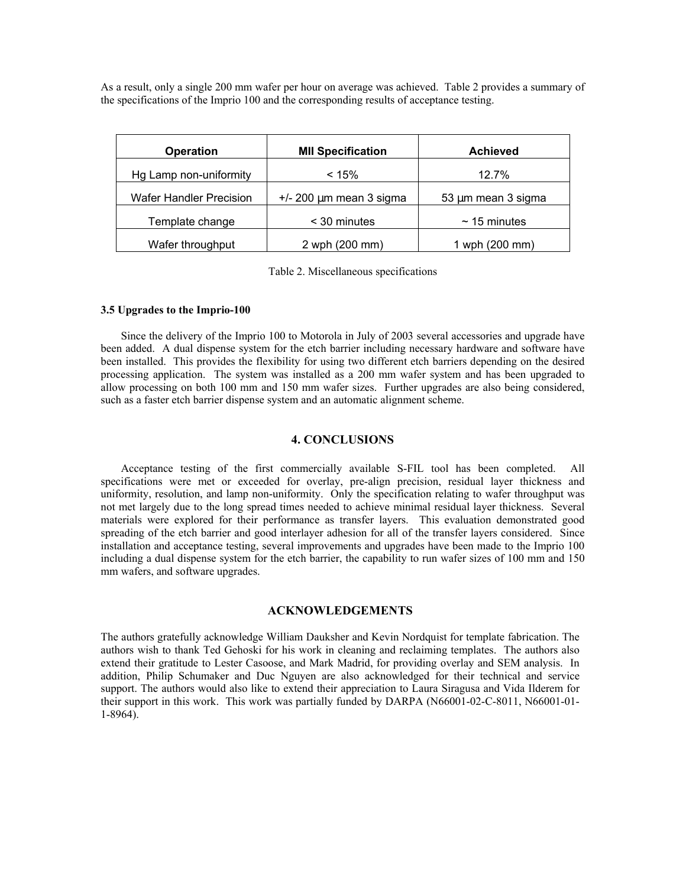As a result, only a single 200 mm wafer per hour on average was achieved. Table 2 provides a summary of the specifications of the Imprio 100 and the corresponding results of acceptance testing.

| <b>Operation</b>               | <b>MII Specification</b>     | <b>Achieved</b>    |  |
|--------------------------------|------------------------------|--------------------|--|
| Hg Lamp non-uniformity         | < 15%                        | 12.7%              |  |
| <b>Wafer Handler Precision</b> | $+/- 200 \mu m$ mean 3 sigma | 53 µm mean 3 sigma |  |
| Template change                | < 30 minutes                 | $\sim$ 15 minutes  |  |
| Wafer throughput               | 2 wph (200 mm)               | 1 wph (200 mm)     |  |

Table 2. Miscellaneous specifications

## **3.5 Upgrades to the Imprio-100**

Since the delivery of the Imprio 100 to Motorola in July of 2003 several accessories and upgrade have been added. A dual dispense system for the etch barrier including necessary hardware and software have been installed. This provides the flexibility for using two different etch barriers depending on the desired processing application. The system was installed as a 200 mm wafer system and has been upgraded to allow processing on both 100 mm and 150 mm wafer sizes. Further upgrades are also being considered, such as a faster etch barrier dispense system and an automatic alignment scheme.

## **4. CONCLUSIONS**

Acceptance testing of the first commercially available S-FIL tool has been completed. All specifications were met or exceeded for overlay, pre-align precision, residual layer thickness and uniformity, resolution, and lamp non-uniformity. Only the specification relating to wafer throughput was not met largely due to the long spread times needed to achieve minimal residual layer thickness. Several materials were explored for their performance as transfer layers. This evaluation demonstrated good spreading of the etch barrier and good interlayer adhesion for all of the transfer layers considered. Since installation and acceptance testing, several improvements and upgrades have been made to the Imprio 100 including a dual dispense system for the etch barrier, the capability to run wafer sizes of 100 mm and 150 mm wafers, and software upgrades.

## **ACKNOWLEDGEMENTS**

The authors gratefully acknowledge William Dauksher and Kevin Nordquist for template fabrication. The authors wish to thank Ted Gehoski for his work in cleaning and reclaiming templates. The authors also extend their gratitude to Lester Casoose, and Mark Madrid, for providing overlay and SEM analysis. In addition, Philip Schumaker and Duc Nguyen are also acknowledged for their technical and service support. The authors would also like to extend their appreciation to Laura Siragusa and Vida Ilderem for their support in this work. This work was partially funded by DARPA (N66001-02-C-8011, N66001-01- 1-8964).